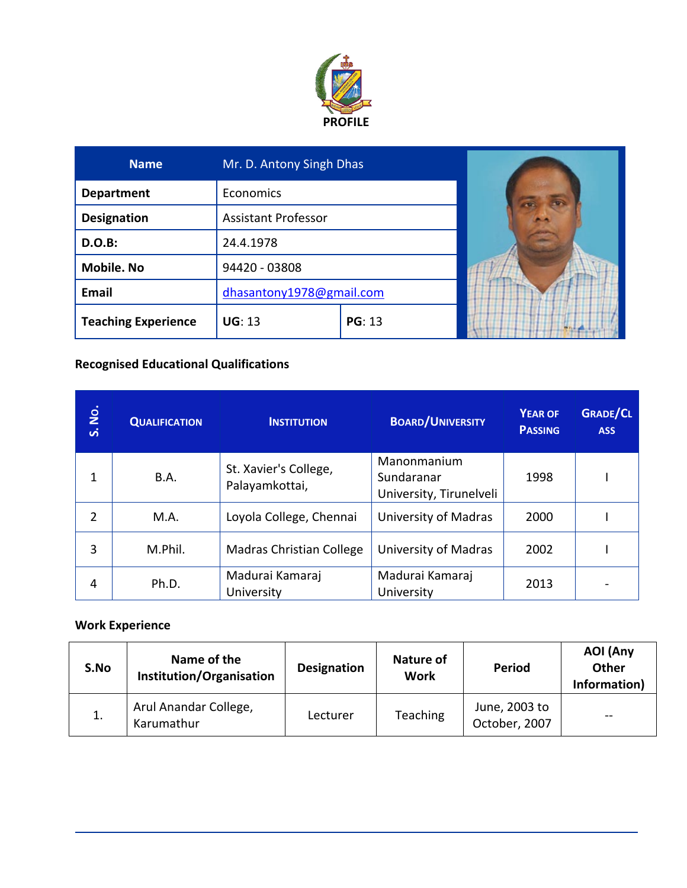

| <b>Name</b>                | Mr. D. Antony Singh Dhas   |               |  |
|----------------------------|----------------------------|---------------|--|
| <b>Department</b>          | <b>Economics</b>           |               |  |
| <b>Designation</b>         | <b>Assistant Professor</b> |               |  |
| <b>D.O.B:</b>              | 24.4.1978                  |               |  |
| <b>Mobile. No</b>          | 94420 - 03808              |               |  |
| Email                      | dhasantony1978@gmail.com   |               |  |
| <b>Teaching Experience</b> | <b>UG: 13</b>              | <b>PG: 13</b> |  |

### **Recognised Educational Qualifications**

| <b>S. No.</b>  | <b>QUALIFICATION</b> | <b>INSTITUTION</b>                      | <b>BOARD/UNIVERSITY</b>                              | <b>YEAR OF</b><br><b>PASSING</b> | <b>GRADE/CL</b><br><b>ASS</b> |
|----------------|----------------------|-----------------------------------------|------------------------------------------------------|----------------------------------|-------------------------------|
| 1              | B.A.                 | St. Xavier's College,<br>Palayamkottai, | Manonmanium<br>Sundaranar<br>University, Tirunelveli | 1998                             |                               |
| $\overline{2}$ | M.A.                 | Loyola College, Chennai                 | University of Madras                                 | 2000                             |                               |
| 3              | M.Phil.              | <b>Madras Christian College</b>         | University of Madras                                 | 2002                             |                               |
| 4              | Ph.D.                | Madurai Kamaraj<br>University           | Madurai Kamaraj<br>University                        | 2013                             |                               |

# **Work Experience**

| S.No | Name of the<br>Institution/Organisation | <b>Designation</b> | Nature of<br>Work | Period                         | AOI (Any<br><b>Other</b><br>Information) |
|------|-----------------------------------------|--------------------|-------------------|--------------------------------|------------------------------------------|
| 1.   | Arul Anandar College,<br>Karumathur     | Lecturer           | Teaching          | June, 2003 to<br>October, 2007 | $- -$                                    |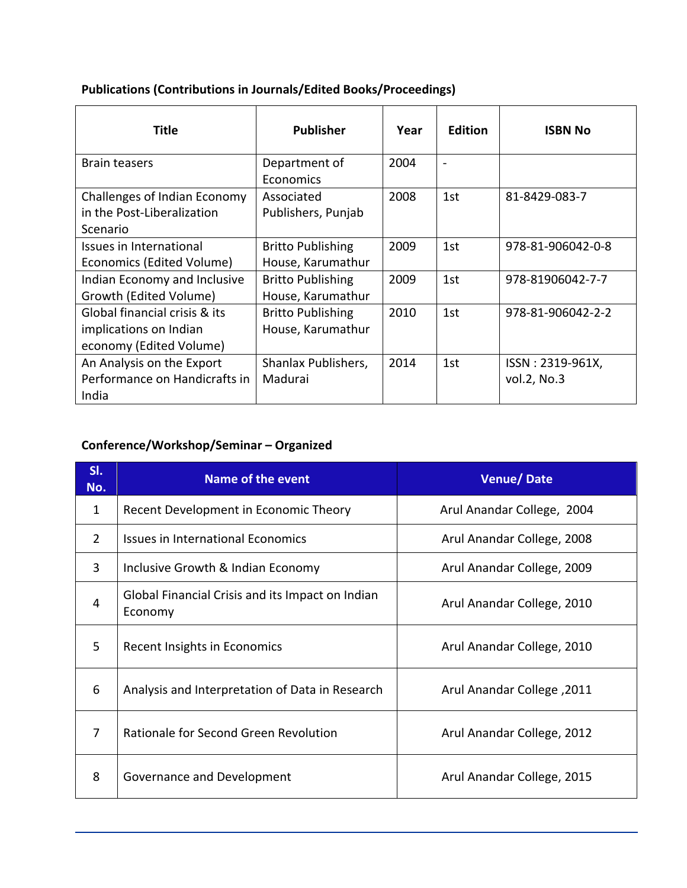| Title                                                                              | <b>Publisher</b>                              | Year | <b>Edition</b>           | <b>ISBN No</b>                  |
|------------------------------------------------------------------------------------|-----------------------------------------------|------|--------------------------|---------------------------------|
| <b>Brain teasers</b>                                                               | Department of<br>Economics                    | 2004 | $\overline{\phantom{0}}$ |                                 |
| Challenges of Indian Economy<br>in the Post-Liberalization<br>Scenario             | Associated<br>Publishers, Punjab              | 2008 | 1st                      | 81-8429-083-7                   |
| Issues in International<br>Economics (Edited Volume)                               | <b>Britto Publishing</b><br>House, Karumathur | 2009 | 1st                      | 978-81-906042-0-8               |
| Indian Economy and Inclusive<br>Growth (Edited Volume)                             | <b>Britto Publishing</b><br>House, Karumathur | 2009 | 1st                      | 978-81906042-7-7                |
| Global financial crisis & its<br>implications on Indian<br>economy (Edited Volume) | <b>Britto Publishing</b><br>House, Karumathur | 2010 | 1st                      | 978-81-906042-2-2               |
| An Analysis on the Export<br>Performance on Handicrafts in<br>India                | Shanlax Publishers,<br>Madurai                | 2014 | 1st                      | ISSN: 2319-961X,<br>vol.2, No.3 |

# **Publications (Contributions in Journals/Edited Books/Proceedings)**

# **Conference/Workshop/Seminar – Organized**

| SI.<br>No.     | <b>Name of the event</b>                                    | <b>Venue/Date</b>          |
|----------------|-------------------------------------------------------------|----------------------------|
| 1              | Recent Development in Economic Theory                       | Arul Anandar College, 2004 |
| $\overline{2}$ | <b>Issues in International Economics</b>                    | Arul Anandar College, 2008 |
| 3              | Inclusive Growth & Indian Economy                           | Arul Anandar College, 2009 |
| 4              | Global Financial Crisis and its Impact on Indian<br>Economy | Arul Anandar College, 2010 |
| 5              | Recent Insights in Economics                                | Arul Anandar College, 2010 |
| 6              | Analysis and Interpretation of Data in Research             | Arul Anandar College, 2011 |
| 7              | Rationale for Second Green Revolution                       | Arul Anandar College, 2012 |
| 8              | Governance and Development                                  | Arul Anandar College, 2015 |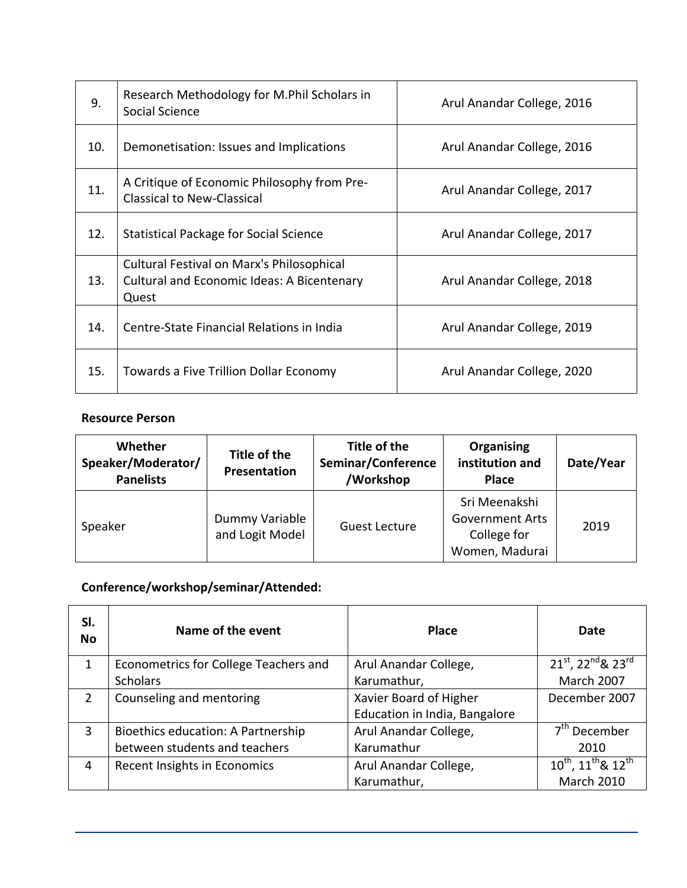| 9.  | Research Methodology for M.Phil Scholars in<br>Social Science                                           | Arul Anandar College, 2016 |
|-----|---------------------------------------------------------------------------------------------------------|----------------------------|
| 10. | Demonetisation: Issues and Implications                                                                 | Arul Anandar College, 2016 |
| 11. | A Critique of Economic Philosophy from Pre-<br><b>Classical to New-Classical</b>                        | Arul Anandar College, 2017 |
| 12. | <b>Statistical Package for Social Science</b>                                                           | Arul Anandar College, 2017 |
| 13. | Cultural Festival on Marx's Philosophical<br><b>Cultural and Economic Ideas: A Bicentenary</b><br>Quest | Arul Anandar College, 2018 |
| 14. | Centre-State Financial Relations in India                                                               | Arul Anandar College, 2019 |
| 15. | Towards a Five Trillion Dollar Economy                                                                  | Arul Anandar College, 2020 |

#### **Resource Person**

| Whether<br>Speaker/Moderator/<br><b>Panelists</b> | Title of the<br>Presentation      | Title of the<br>Seminar/Conference<br>/Workshop | Organising<br>institution and<br><b>Place</b>                            | Date/Year |
|---------------------------------------------------|-----------------------------------|-------------------------------------------------|--------------------------------------------------------------------------|-----------|
| Speaker                                           | Dummy Variable<br>and Logit Model | <b>Guest Lecture</b>                            | Sri Meenakshi<br><b>Government Arts</b><br>College for<br>Women, Madurai | 2019      |

# **Conference/workshop/seminar/Attended:**

| SI.<br><b>No</b> | Name of the event                     | <b>Place</b>                  | Date                                                   |
|------------------|---------------------------------------|-------------------------------|--------------------------------------------------------|
|                  | Econometrics for College Teachers and | Arul Anandar College,         | $21^{st}$ , $22^{nd}$ & $23^{rd}$                      |
|                  | <b>Scholars</b>                       | Karumathur,                   | <b>March 2007</b>                                      |
| 2                | Counseling and mentoring              | Xavier Board of Higher        | December 2007                                          |
|                  |                                       | Education in India, Bangalore |                                                        |
| 3                | Bioethics education: A Partnership    | Arul Anandar College,         | 7 <sup>th</sup> December                               |
|                  | between students and teachers         | Karumathur                    | 2010                                                   |
| 4                | Recent Insights in Economics          | Arul Anandar College,         | 10 <sup>th</sup> , 11 <sup>th</sup> & 12 <sup>th</sup> |
|                  |                                       | Karumathur,                   | <b>March 2010</b>                                      |